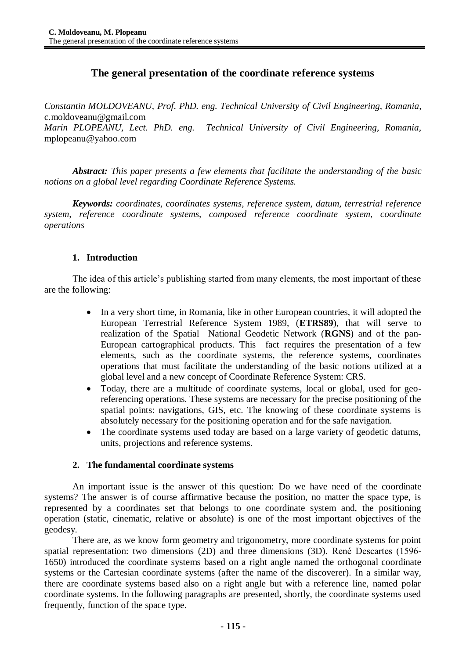# **The general presentation of the coordinate reference systems**

*Constantin MOLDOVEANU, Prof. PhD. eng. Technical University of Civil Engineering, Romania,* c.moldoveanu@gmail.com *Marin PLOPEANU, Lect. PhD. eng. Technical University of Civil Engineering, Romania,* mplopeanu@yahoo.com

*Abstract: This paper presents a few elements that facilitate the understanding of the basic notions on a global level regarding Coordinate Reference Systems.*

*Keywords: coordinates, coordinates systems, reference system, datum, terrestrial reference system, reference coordinate systems, composed reference coordinate system, coordinate operations*

# **1. Introduction**

The idea of this article's publishing started from many elements, the most important of these are the following:

- In a very short time, in Romania, like in other European countries, it will adopted the European Terrestrial Reference System 1989, (**ETRS89**), that will serve to realization of the Spatial National Geodetic Network (**RGNS**) and of the pan-European cartographical products. This fact requires the presentation of a few elements, such as the coordinate systems, the reference systems, coordinates operations that must facilitate the understanding of the basic notions utilized at a global level and a new concept of Coordinate Reference System: CRS.
- Today, there are a multitude of coordinate systems, local or global, used for georeferencing operations. These systems are necessary for the precise positioning of the spatial points: navigations, GIS, etc. The knowing of these coordinate systems is absolutely necessary for the positioning operation and for the safe navigation.
- The coordinate systems used today are based on a large variety of geodetic datums, units, projections and reference systems.

## **2. The fundamental coordinate systems**

An important issue is the answer of this question: Do we have need of the coordinate systems? The answer is of course affirmative because the position, no matter the space type, is represented by a coordinates set that belongs to one coordinate system and, the positioning operation (static, cinematic, relative or absolute) is one of the most important objectives of the geodesy.

There are, as we know form geometry and trigonometry, more coordinate systems for point spatial representation: two dimensions (2D) and three dimensions (3D). René Descartes (1596- 1650) introduced the coordinate systems based on a right angle named the orthogonal coordinate systems or the Cartesian coordinate systems (after the name of the discoverer). In a similar way, there are coordinate systems based also on a right angle but with a reference line, named polar coordinate systems. In the following paragraphs are presented, shortly, the coordinate systems used frequently, function of the space type.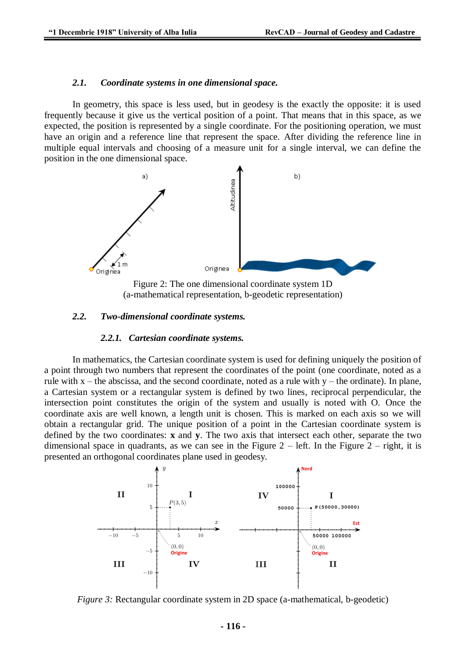#### *2.1. Coordinate systems in one dimensional space.*

In geometry, this space is less used, but in geodesy is the exactly the opposite: it is used frequently because it give us the vertical position of a point. That means that in this space, as we expected, the position is represented by a single coordinate. For the positioning operation, we must have an origin and a reference line that represent the space. After dividing the reference line in multiple equal intervals and choosing of a measure unit for a single interval, we can define the position in the one dimensional space.



(a-mathematical representation, b-geodetic representation)

## *2.2. Two-dimensional coordinate systems.*

#### *2.2.1. Cartesian coordinate systems.*

In mathematics, the Cartesian coordinate system is used for defining uniquely the position of a point through two numbers that represent the coordinates of the point (one coordinate, noted as a rule with  $x$  – the abscissa, and the second coordinate, noted as a rule with  $y$  – the ordinate). In plane, a Cartesian system or a rectangular system is defined by two lines, reciprocal perpendicular, the intersection point constitutes the origin of the system and usually is noted with O. Once the coordinate axis are well known, a length unit is chosen. This is marked on each axis so we will obtain a rectangular grid. The unique position of a point in the Cartesian coordinate system is defined by the two coordinates: **x** and **y**. The two axis that intersect each other, separate the two dimensional space in quadrants, as we can see in the Figure  $2$  – left. In the Figure  $2$  – right, it is presented an orthogonal coordinates plane used in geodesy.



*Figure 3:* Rectangular coordinate system in 2D space (a-mathematical, b-geodetic)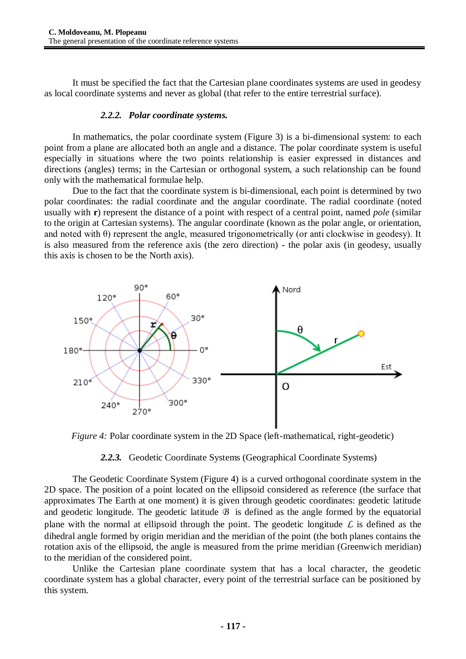It must be specified the fact that the Cartesian plane coordinates systems are used in geodesy as local coordinate systems and never as global (that refer to the entire terrestrial surface).

#### *2.2.2. Polar coordinate systems.*

In mathematics, the polar coordinate system (Figure 3) is a bi-dimensional system: to each point from a plane are allocated both an angle and a distance. The polar coordinate system is useful especially in situations where the two points relationship is easier expressed in distances and directions (angles) terms; in the Cartesian or orthogonal system, a such relationship can be found only with the mathematical formulae help.

Due to the fact that the coordinate system is bi-dimensional, each point is determined by two polar coordinates: the radial coordinate and the angular coordinate. The radial coordinate (noted usually with **r**) represent the distance of a point with respect of a central point, named *pole* (similar to the origin at Cartesian systems). The angular coordinate (known as the polar angle, or orientation, and noted with  $\theta$ ) represent the angle, measured trigonometrically (or anti clockwise in geodesy). It is also measured from the reference axis (the zero direction) - the polar axis (in geodesy, usually this axis is chosen to be the North axis).



*Figure 4:* Polar coordinate system in the 2D Space (left-mathematical, right-geodetic)

## *2.2.3.* Geodetic Coordinate Systems (Geographical Coordinate Systems)

The Geodetic Coordinate System (Figure 4) is a curved orthogonal coordinate system in the 2D space. The position of a point located on the ellipsoid considered as reference (the surface that approximates The Earth at one moment) it is given through geodetic coordinates: geodetic latitude and geodetic longitude. The geodetic latitude *B* is defined as the angle formed by the equatorial plane with the normal at ellipsoid through the point. The geodetic longitude *L* is defined as the dihedral angle formed by origin meridian and the meridian of the point (the both planes contains the rotation axis of the ellipsoid, the angle is measured from the prime meridian (Greenwich meridian) to the meridian of the considered point.

Unlike the Cartesian plane coordinate system that has a local character, the geodetic coordinate system has a global character, every point of the terrestrial surface can be positioned by this system.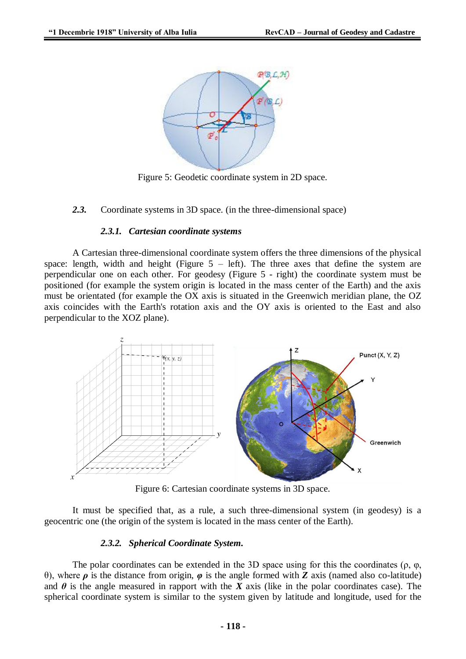

Figure 5: Geodetic coordinate system in 2D space.

*2.3.* Coordinate systems in 3D space. (in the three-dimensional space)

#### *2.3.1. Cartesian coordinate systems*

A Cartesian three-dimensional coordinate system offers the three dimensions of the physical space: length, width and height (Figure  $5 - left$ ). The three axes that define the system are perpendicular one on each other. For geodesy (Figure 5 - right) the coordinate system must be positioned (for example the system origin is located in the mass center of the Earth) and the axis must be orientated (for example the OX axis is situated in the Greenwich meridian plane, the OZ axis coincides with the Earth's rotation axis and the OY axis is oriented to the East and also perpendicular to the XOZ plane).



Figure 6: Cartesian coordinate systems in 3D space.

It must be specified that, as a rule, a such three-dimensional system (in geodesy) is a geocentric one (the origin of the system is located in the mass center of the Earth).

## *2.3.2. Spherical Coordinate System.*

The polar coordinates can be extended in the 3D space using for this the coordinates ( $\rho$ ,  $\varphi$ , θ), where *ρ* is the distance from origin, *φ* is the angle formed with *Z* axis (named also co-latitude) and  $\theta$  is the angle measured in rapport with the *X* axis (like in the polar coordinates case). The spherical coordinate system is similar to the system given by latitude and longitude, used for the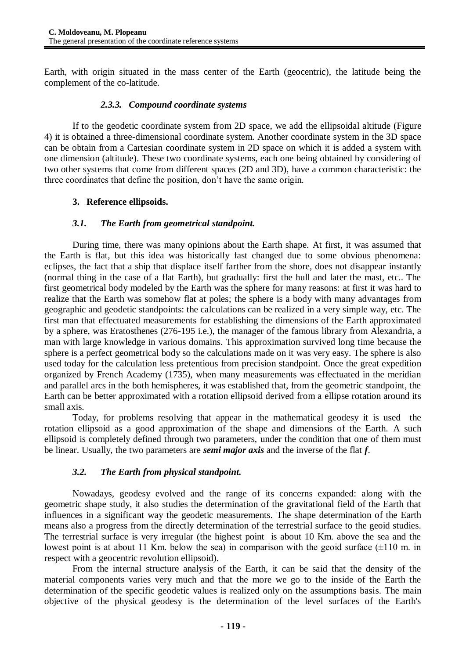Earth, with origin situated in the mass center of the Earth (geocentric), the latitude being the complement of the co-latitude.

## *2.3.3. Compound coordinate systems*

If to the geodetic coordinate system from 2D space, we add the ellipsoidal altitude (Figure 4) it is obtained a three-dimensional coordinate system. Another coordinate system in the 3D space can be obtain from a Cartesian coordinate system in 2D space on which it is added a system with one dimension (altitude). These two coordinate systems, each one being obtained by considering of two other systems that come from different spaces (2D and 3D), have a common characteristic: the three coordinates that define the position, don't have the same origin.

# **3. Reference ellipsoids.**

# *3.1. The Earth from geometrical standpoint.*

During time, there was many opinions about the Earth shape. At first, it was assumed that the Earth is flat, but this idea was historically fast changed due to some obvious phenomena: eclipses, the fact that a ship that displace itself farther from the shore, does not disappear instantly (normal thing in the case of a flat Earth), but gradually: first the hull and later the mast, etc.. The first geometrical body modeled by the Earth was the sphere for many reasons: at first it was hard to realize that the Earth was somehow flat at poles; the sphere is a body with many advantages from geographic and geodetic standpoints: the calculations can be realized in a very simple way, etc. The first man that effectuated measurements for establishing the dimensions of the Earth approximated by a sphere, was Eratosthenes (276-195 i.e.), the manager of the famous library from Alexandria, a man with large knowledge in various domains. This approximation survived long time because the sphere is a perfect geometrical body so the calculations made on it was very easy. The sphere is also used today for the calculation less pretentious from precision standpoint. Once the great expedition organized by French Academy (1735), when many measurements was effectuated in the meridian and parallel arcs in the both hemispheres, it was established that, from the geometric standpoint, the Earth can be better approximated with a rotation ellipsoid derived from a ellipse rotation around its small axis.

Today, for problems resolving that appear in the mathematical geodesy it is used the rotation ellipsoid as a good approximation of the shape and dimensions of the Earth. A such ellipsoid is completely defined through two parameters, under the condition that one of them must be linear. Usually, the two parameters are *semi major axis* and the inverse of the flat *f*.

## *3.2. The Earth from physical standpoint.*

Nowadays, geodesy evolved and the range of its concerns expanded: along with the geometric shape study, it also studies the determination of the gravitational field of the Earth that influences in a significant way the geodetic measurements. The shape determination of the Earth means also a progress from the directly determination of the terrestrial surface to the geoid studies. The terrestrial surface is very irregular (the highest point is about 10 Km. above the sea and the lowest point is at about 11 Km. below the sea) in comparison with the geoid surface  $(\pm 110 \text{ m}$ . in respect with a geocentric revolution ellipsoid).

From the internal structure analysis of the Earth, it can be said that the density of the material components varies very much and that the more we go to the inside of the Earth the determination of the specific geodetic values is realized only on the assumptions basis. The main objective of the physical geodesy is the determination of the level surfaces of the Earth's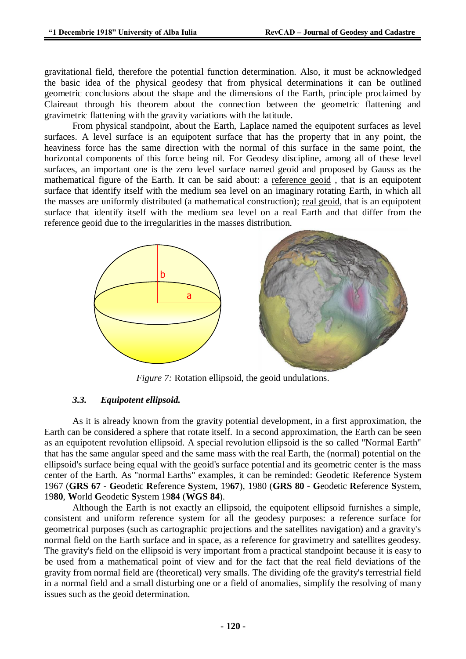gravitational field, therefore the potential function determination. Also, it must be acknowledged the basic idea of the physical geodesy that from physical determinations it can be outlined geometric conclusions about the shape and the dimensions of the Earth, principle proclaimed by Claireaut through his theorem about the connection between the geometric flattening and gravimetric flattening with the gravity variations with the latitude.

From physical standpoint, about the Earth, Laplace named the equipotent surfaces as level surfaces. A level surface is an equipotent surface that has the property that in any point, the heaviness force has the same direction with the normal of this surface in the same point, the horizontal components of this force being nil. For Geodesy discipline, among all of these level surfaces, an important one is the zero level surface named geoid and proposed by Gauss as the mathematical figure of the Earth. It can be said about: a reference geoid , that is an equipotent surface that identify itself with the medium sea level on an imaginary rotating Earth, in which all the masses are uniformly distributed (a mathematical construction); real geoid, that is an equipotent surface that identify itself with the medium sea level on a real Earth and that differ from the reference geoid due to the irregularities in the masses distribution.



*Figure 7:* Rotation ellipsoid, the geoid undulations.

## *3.3. Equipotent ellipsoid.*

As it is already known from the gravity potential development, in a first approximation, the Earth can be considered a sphere that rotate itself. In a second approximation, the Earth can be seen as an equipotent revolution ellipsoid. A special revolution ellipsoid is the so called "Normal Earth" that has the same angular speed and the same mass with the real Earth, the (normal) potential on the ellipsoid's surface being equal with the geoid's surface potential and its geometric center is the mass center of the Earth. As "normal Earths" examples, it can be reminded: Geodetic Reference System 1967 (**GRS 67** - **G**eodetic **R**eference **S**ystem, 19**67**), 1980 (**GRS 80** - **G**eodetic **R**eference **S**ystem, 19**80**, **W**orld **G**eodetic **S**ystem 19**84** (**WGS 84**).

Although the Earth is not exactly an ellipsoid, the equipotent ellipsoid furnishes a simple, consistent and uniform reference system for all the geodesy purposes: a reference surface for geometrical purposes (such as cartographic projections and the satellites navigation) and a gravity's normal field on the Earth surface and in space, as a reference for gravimetry and satellites geodesy. The gravity's field on the ellipsoid is very important from a practical standpoint because it is easy to be used from a mathematical point of view and for the fact that the real field deviations of the gravity from normal field are (theoretical) very smalls. The dividing ofe the gravity's terrestrial field in a normal field and a small disturbing one or a field of anomalies, simplify the resolving of many issues such as the geoid determination.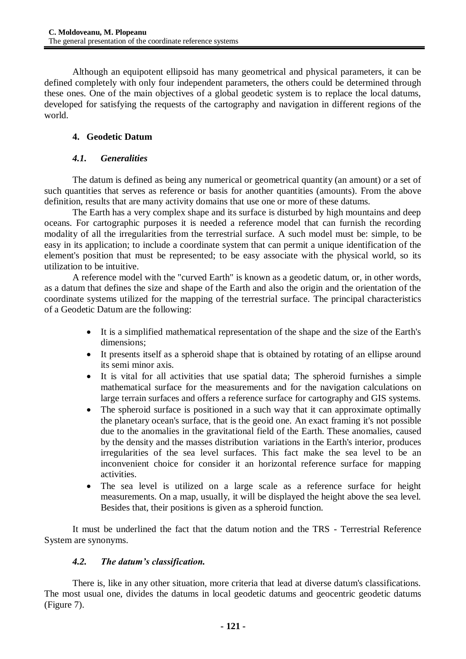Although an equipotent ellipsoid has many geometrical and physical parameters, it can be defined completely with only four independent parameters, the others could be determined through these ones. One of the main objectives of a global geodetic system is to replace the local datums, developed for satisfying the requests of the cartography and navigation in different regions of the world.

# **4. Geodetic Datum**

# *4.1. Generalities*

The datum is defined as being any numerical or geometrical quantity (an amount) or a set of such quantities that serves as reference or basis for another quantities (amounts). From the above definition, results that are many activity domains that use one or more of these datums.

The Earth has a very complex shape and its surface is disturbed by high mountains and deep oceans. For cartographic purposes it is needed a reference model that can furnish the recording modality of all the irregularities from the terrestrial surface. A such model must be: simple, to be easy in its application; to include a coordinate system that can permit a unique identification of the element's position that must be represented; to be easy associate with the physical world, so its utilization to be intuitive.

A reference model with the "curved Earth" is known as a geodetic datum, or, in other words, as a datum that defines the size and shape of the Earth and also the origin and the orientation of the coordinate systems utilized for the mapping of the terrestrial surface. The principal characteristics of a Geodetic Datum are the following:

- It is a simplified mathematical representation of the shape and the size of the Earth's dimensions;
- It presents itself as a spheroid shape that is obtained by rotating of an ellipse around its semi minor axis.
- It is vital for all activities that use spatial data; The spheroid furnishes a simple mathematical surface for the measurements and for the navigation calculations on large terrain surfaces and offers a reference surface for cartography and GIS systems.
- The spheroid surface is positioned in a such way that it can approximate optimally the planetary ocean's surface, that is the geoid one. An exact framing it's not possible due to the anomalies in the gravitational field of the Earth. These anomalies, caused by the density and the masses distribution variations in the Earth's interior, produces irregularities of the sea level surfaces. This fact make the sea level to be an inconvenient choice for consider it an horizontal reference surface for mapping activities.
- The sea level is utilized on a large scale as a reference surface for height measurements. On a map, usually, it will be displayed the height above the sea level. Besides that, their positions is given as a spheroid function.

It must be underlined the fact that the datum notion and the TRS - Terrestrial Reference System are synonyms.

# *4.2. The datum's classification.*

There is, like in any other situation, more criteria that lead at diverse datum's classifications. The most usual one, divides the datums in local geodetic datums and geocentric geodetic datums (Figure 7).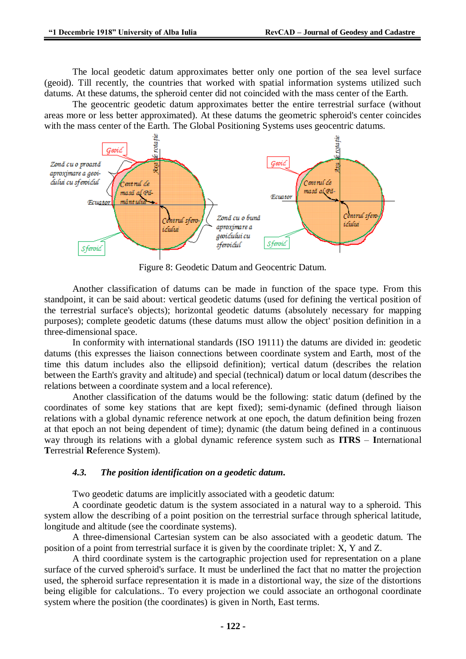The local geodetic datum approximates better only one portion of the sea level surface (geoid). Till recently, the countries that worked with spatial information systems utilized such datums. At these datums, the spheroid center did not coincided with the mass center of the Earth.

The geocentric geodetic datum approximates better the entire terrestrial surface (without areas more or less better approximated). At these datums the geometric spheroid's center coincides with the mass center of the Earth. The Global Positioning Systems uses geocentric datums.



Figure 8: Geodetic Datum and Geocentric Datum.

Another classification of datums can be made in function of the space type. From this standpoint, it can be said about: vertical geodetic datums (used for defining the vertical position of the terrestrial surface's objects); horizontal geodetic datums (absolutely necessary for mapping purposes); complete geodetic datums (these datums must allow the object' position definition in a three-dimensional space.

In conformity with international standards (ISO 19111) the datums are divided in: geodetic datums (this expresses the liaison connections between coordinate system and Earth, most of the time this datum includes also the ellipsoid definition); vertical datum (describes the relation between the Earth's gravity and altitude) and special (technical) datum or local datum (describes the relations between a coordinate system and a local reference).

Another classification of the datums would be the following: static datum (defined by the coordinates of some key stations that are kept fixed); semi-dynamic (defined through liaison relations with a global dynamic reference network at one epoch, the datum definition being frozen at that epoch an not being dependent of time); dynamic (the datum being defined in a continuous way through its relations with a global dynamic reference system such as **ITRS** – **I**nternational **T**errestrial **R**eference **S**ystem).

## *4.3. The position identification on a geodetic datum.*

Two geodetic datums are implicitly associated with a geodetic datum:

A coordinate geodetic datum is the system associated in a natural way to a spheroid. This system allow the describing of a point position on the terrestrial surface through spherical latitude, longitude and altitude (see the coordinate systems).

A three-dimensional Cartesian system can be also associated with a geodetic datum. The position of a point from terrestrial surface it is given by the coordinate triplet: X, Y and Z.

A third coordinate system is the cartographic projection used for representation on a plane surface of the curved spheroid's surface. It must be underlined the fact that no matter the projection used, the spheroid surface representation it is made in a distortional way, the size of the distortions being eligible for calculations.. To every projection we could associate an orthogonal coordinate system where the position (the coordinates) is given in North, East terms.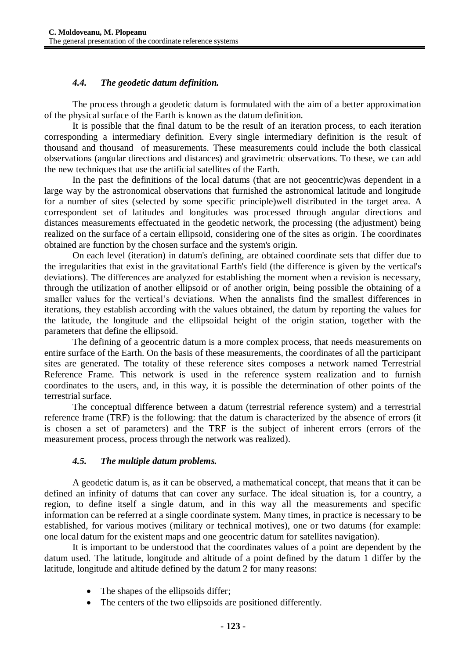# *4.4. The geodetic datum definition.*

The process through a geodetic datum is formulated with the aim of a better approximation of the physical surface of the Earth is known as the datum definition.

It is possible that the final datum to be the result of an iteration process, to each iteration corresponding a intermediary definition. Every single intermediary definition is the result of thousand and thousand of measurements. These measurements could include the both classical observations (angular directions and distances) and gravimetric observations. To these, we can add the new techniques that use the artificial satellites of the Earth.

In the past the definitions of the local datums (that are not geocentric)was dependent in a large way by the astronomical observations that furnished the astronomical latitude and longitude for a number of sites (selected by some specific principle)well distributed in the target area. A correspondent set of latitudes and longitudes was processed through angular directions and distances measurements effectuated in the geodetic network, the processing (the adjustment) being realized on the surface of a certain ellipsoid, considering one of the sites as origin. The coordinates obtained are function by the chosen surface and the system's origin.

On each level (iteration) in datum's defining, are obtained coordinate sets that differ due to the irregularities that exist in the gravitational Earth's field (the difference is given by the vertical's deviations). The differences are analyzed for establishing the moment when a revision is necessary, through the utilization of another ellipsoid or of another origin, being possible the obtaining of a smaller values for the vertical's deviations. When the annalists find the smallest differences in iterations, they establish according with the values obtained, the datum by reporting the values for the latitude, the longitude and the ellipsoidal height of the origin station, together with the parameters that define the ellipsoid.

The defining of a geocentric datum is a more complex process, that needs measurements on entire surface of the Earth. On the basis of these measurements, the coordinates of all the participant sites are generated. The totality of these reference sites composes a network named Terrestrial Reference Frame. This network is used in the reference system realization and to furnish coordinates to the users, and, in this way, it is possible the determination of other points of the terrestrial surface.

The conceptual difference between a datum (terrestrial reference system) and a terrestrial reference frame (TRF) is the following: that the datum is characterized by the absence of errors (it is chosen a set of parameters) and the TRF is the subject of inherent errors (errors of the measurement process, process through the network was realized).

## *4.5. The multiple datum problems.*

A geodetic datum is, as it can be observed, a mathematical concept, that means that it can be defined an infinity of datums that can cover any surface. The ideal situation is, for a country, a region, to define itself a single datum, and in this way all the measurements and specific information can be referred at a single coordinate system. Many times, in practice is necessary to be established, for various motives (military or technical motives), one or two datums (for example: one local datum for the existent maps and one geocentric datum for satellites navigation).

It is important to be understood that the coordinates values of a point are dependent by the datum used. The latitude, longitude and altitude of a point defined by the datum 1 differ by the latitude, longitude and altitude defined by the datum 2 for many reasons:

- The shapes of the ellipsoids differ;
- The centers of the two ellipsoids are positioned differently.